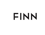# EINN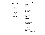# **Happy Hour**

| 7 days a week from 4 - 6 pm |
|-----------------------------|
| \$1 off house cocktails     |
| \$5 draft beers             |
| \$5 well drinks             |
| \$12 happy hour pizzas      |
| \$10 antipasti platter      |
| \$7 buffalo wings           |
| \$5 for 3 oysters           |
|                             |

## **Bottled**

| <b>Bayern Pilsner</b><br>Bayern Brewing, Missoula, MT              | 6 |
|--------------------------------------------------------------------|---|
| <b>Salmon Fly Honey Rye</b><br>Madison River Brewing, Belgrade, MT | 6 |
| <b>Moose Drool</b><br>Big Sky Brewery, Missoula, MT                | 6 |
| <b>Big Sky IPA</b><br>Big Sky Brewery, Missoula, MT                | 6 |
| <b>Modelo Especial</b>                                             | 5 |
| <b>Guinness</b>                                                    | 6 |
| <b>Beck's NA</b>                                                   | 6 |
| <b>Coors Light</b>                                                 | 5 |
| <b>Coors Banquet</b>                                               | 5 |
| <b>Miller Lite</b>                                                 | 5 |

# **On Tap**

| Montana Helles Lager<br>Bayern Brewing, Missoula, MT               | 7 |
|--------------------------------------------------------------------|---|
| Summer Honey Ale<br>Big Sky Brewing, Missoula, MT                  | 7 |
| <b>Single Hop Pale Ale</b><br>Bitterroot Brewing, Hamilton, MT     | 7 |
| <b>Single Malt IPA</b><br>Blackfoot River Brewing, Helena, MT      | 7 |
| <b>Plum Street Porter</b><br>Bozeman Brewing, Bozeman, MT          | 7 |
| <b>Hoodoo Hefeweizen</b><br>Cabinet Mountain Brewing, Libby, MT    | 7 |
| That's What She Said Cream Ale<br>Draught Works, Missoula, MT      | 7 |
| <b>Fuego Grande Mexi Lager</b><br>Great Burn Brewing, Missoula, MT | 7 |
| Devil's Hump Red Ale<br>Highlander Brewing, Missoula, MT           | 7 |
| Citra IPA<br>Jeremiah Johnson Brewing, Great Falls MT              | 7 |
| <b>Cold Smoke Scotch Ale</b><br>KettleHouse Brewing, Missoula, MT  | 7 |
| <b>Shady New England IPA</b><br>KettleHouse Brewing, Missoula, MT  | 7 |
| Nice Fella Italian Pilsner<br>Mountains Walking, Bozeman, MT       | 7 |
| <b>Pink Slip</b><br>Überbrew, Billings, MT                         | 7 |
| <b>Poor Farmer Cider</b><br>Western Cider, Missoula, MT            | 6 |
| <b>Bud Light</b>                                                   | 5 |

**Montana Sampler Flight** *four 4oz drafts of your choice*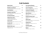# **Craft Cocktails**

| <b>Rhubarb Gimlet *</b><br>Whyte Laydie Gin, Rhubarb Simple Syrup, Lime                                              | 12 |
|----------------------------------------------------------------------------------------------------------------------|----|
| <b>Manhattan of the Moment</b><br>House Infused Manhattan, ask your server for details                               | 13 |
| Grand Manhattan *<br>North Fork Rye, Grand Marnier, Orange                                                           | 14 |
| <b>Huckleberry Lemon Drop *</b><br>Spirit of Sperry Huckleberry Vodka, Triple Sec, Lemon,<br>Sugar, Huckleberries    | 13 |
| <b>Earl Grey Old Fashion *</b><br>Sudden Wisdom Rye, Earl Grey Syrup, Orange Bitters                                 | 14 |
| <b>Flathead Cherry Shrub *</b><br>Shivelight Flathead Cherry Shrub,<br>Spotted Bear Agave Spirit, Soda, Lime         | 11 |
| Summer Spritz *<br>Quicksilver Vodka, Strawberry, Rhubarb Syrup, Prosecco                                            | 11 |
| Cucumber G&T *<br>Whistling Andy's Cucumber Gin, Limoncello, Tonic<br>Cucumber, Lemon                                | 11 |
| <b>Blueberry Basil Punch *</b><br>Whitefish Spiced Rum, Triple Sec, Blueberry Syrup, Basil,<br>Pineapple Juice, Lime | 11 |

| <b>Fresh Squeezed Margarita</b><br>Exotico Blanco, Triple Sec, Lime Lemon, Agave                                 | 9  |
|------------------------------------------------------------------------------------------------------------------|----|
| <b>Fresh Fruit Margarita</b><br>Blueberry, Huckleberry, Strawberry, Watermelon                                   | 10 |
| Cucumber-Chili Margarita<br>Hornitos Tequila, Cointreau, Agave, Cucumber,<br>Cayenne Pepper, Lime, Sriracha Salt | 12 |
| <b>Ginger Refresher *</b><br>High Ore Vodka, Ginger-Peppercorn Syrup,<br>Soda, Lemon                             | 9  |
| <b>Blackberry Bourbon Smash *</b><br>Neversweat Bourbon, Blackberries, Lime, Agave,<br>Ginger Ale                | 10 |
| Whisky Peach *<br>Willie's Canadian Whisky, Trail of the Cedar Absinthe,<br>Peach Puree, Lemon, Soda             | 11 |
| <b>Chambord Sour *</b><br>Spotted Bear Gin, Chambord, Lemon, Lime,<br>Simple Syrup                               | 13 |
| <b>Huckleberry Bellini</b><br>Prosecco, Peach Puree, Huckleberries                                               | 10 |
| Rogroni *<br>LoLo Creek Gin, Aperol, Lillet Rose                                                                 | 14 |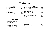# **Wine By the Glass**

#### **White Red**

| Les Petites Sardines Muscadet FR  | 9/34  |
|-----------------------------------|-------|
| Dr Loosen 'Red Slate' Riesling DE | 11/42 |
| <b>Anne Amie Pinot Gris OR</b>    | 11/42 |
| Paco & Lola Albariño ESP          | 13/50 |
| <b>Fleur de Mer Rosé FR</b>       | 14/54 |
| Seresin Sauvignon Blanc NZ        | 15/58 |
| <b>Duckhorn Chardonnay CA</b>     | 18/70 |

| 9/34 | <b>Loscano Grand Reserve Cabernet Sauvignon ARG</b> | 9/34  |
|------|-----------------------------------------------------|-------|
| 1/42 | <b>Conundrum Red Blend CA</b>                       | 10/38 |
| 1/42 | <b>Bodegas Lan Tempranillo ESP</b>                  | 11/42 |
| 3/50 | Lupaia Toscana Super Tuscan IT                      | 12/48 |
| 4/54 | <b>Paul Hobbs Felino Malbec ARG</b>                 | 13/50 |
| 5/58 | <b>Stoller Family Estate Pinot Noir OR</b>          | 15/58 |
| 8/70 | Balboa 'Artist Series' Cabernet Sauvignon WA        | 16/62 |
|      | Amavi Syrah WA                                      | 18/70 |

#### **Half Bottles**

| NV Treveri Blanc de Blancs Brut WA | 16 |
|------------------------------------|----|
| NV Gruet Brut Rosé NM              | 27 |
| '15 Steele Pinot Noir CA           | 32 |
| '16 Sonoma Cutrer Chardonnay CA    | 34 |
| '17 L'ecole Cabernet Sauvignon WA  | 40 |
| '16 Duckhorn Sauvignon Blanc CA    | 44 |

#### **Sparkling**

| <b>Montmartre Brut FR</b>       | 8/30  |
|---------------------------------|-------|
| <b>Dibon Cava Brut Rose ESP</b> | 10/34 |
| Borgoluce Lampo Prosecco IT     | 11/42 |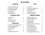# **By the Bottle**

## **Sparkling**

| NV Veuve Devienne Sparkling Rosé FR  | 30  |
|--------------------------------------|-----|
| NV Ca'Vittoria Prosecco Brut Rosé IT | 38  |
| NV Louis Boulliot Cremant Rosé FR    | 58  |
| NV Moet & Chandon Brut FR            | 130 |
| <b>NV Veuve Cliquot Brut FR</b>      | 130 |
| NV Henriot Brut Souverain FR         | 150 |

| '20 La Petite Perrière FR      | 30 |
|--------------------------------|----|
| $18$ Dog Point NZ              | 54 |
| '19 Pascal Jolivet Sancerre FR | 83 |
| '16 St. Supery Dollarhide CA   | 88 |

#### **Chardonnay**

| '19 Domaine Thévenet et Fils Mâcon-Pierreclos FR | 42. |
|--------------------------------------------------|-----|
| $18$ Justin Girardin Bourgogne Blanc FR          | 50  |
| '18 Fèvre & Fèvre Chablis FR                     | 60  |
| '16 Chalk Hill Estate CA                         | 82  |
| $17$ Jordan CA                                   | 86  |
| '16 Paul Hobbs Russian River Valley CA           | 118 |

## **Rosé**

| 0  | '20 The Jack Rosé WA                    | 27  |
|----|-----------------------------------------|-----|
| 8  | '20 Commanderie de la Bargemone Rosé FR | 40  |
| 8  | '20 Daou Family Estates Rosé CA         | 42  |
| 30 | '19 La Spinetta Rosé IT                 | 44  |
| 30 | '21 Walla Walla Vintners Rosé WA        | 50  |
| 50 | '16 Amapola Creek Rosé Cuvée CA         | 68. |

#### **Sauvignon Blanc Additional Whites**

| '19 Bodegas Care White Blend ESP                 | 24 |
|--------------------------------------------------|----|
| NV Monte Tondo Garganega Frizzante IT            | 27 |
| $18$ Brunn Gruner Vetliner $AT$                  | 30 |
| '17 Indaba Chenin Blanc SA                       | 32 |
| '20 Laetare Pinot Grigio IT                      | 34 |
| '20 Biokult Naken (skin fermented/unfiltered) AU | 36 |
| '20 Dry Creek Fumé Blanc CA                      | 38 |
| '18 La Freynelle Bordeaux Blanc FR               | 40 |
| '16 Domain Les Rocailles Jacquere FR             | 42 |
| '20 Dr. Loosen 'Blue Slate' Riesling DE          | 58 |
| '15 Trimbach Gewürtztraminer FR                  | 68 |
| '14 Weingut Okonomierat Rebholz Riesling DE      | 86 |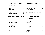#### **Pinot Noir & Burgundy**

| '19 Louis Latour Bourgogne FR              | 48  |
|--------------------------------------------|-----|
| '20 Fullerton Three Otters OR              | 52  |
| '19 Meiomi CA                              | 54  |
| $21$ James Rahn Gamay OR                   | 60  |
| '17 Gachot-Monot Cotes de Nuit-Villages FR | 74  |
| $17$ Nicolas Jay OR                        | 96  |
| '18 Guy & Yvan Dufouleur Santenay FR       | 100 |

#### **Bordeaux & Bordeaux Blends**

| '19 Chateau Merigot FR              | 33  |
|-------------------------------------|-----|
| '16 Le Grand Moulin FR              | 45  |
| '16 Cháteau Bellevue Peycharneau FR | 50  |
| '17 Château Mongravey Margaux FR    | 98  |
| NV Overture by Opus One CA          | 175 |
| '07 Joseph Phelps Insignia CA       | 420 |
| '14 Joseph Phelps Insignia CA       | 375 |
| '18 Joseph Phelps Insignia CA       | 380 |
| $'14$ Opus One $CA$                 | 400 |
|                                     |     |

#### **Rhone & Rhone Blends**

| '20 Saint Cosme Côtes du Rhône FR                | 52  |
|--------------------------------------------------|-----|
| '17 La Rollande Crozes Hermitage FR              | 56  |
| '16 <b>E. Guigal Gigondas</b> FR                 | 90  |
| '15 Vieux Télégraphe Châteauneuf-du-Pape FR      | 198 |
| '15 Château de Beaucastel Châteauneuf-du-Pape FR | 230 |
|                                                  |     |

#### **Cabernet Sauvignon**

|   | '17 Browne Heritage WA         | 40  |
|---|--------------------------------|-----|
|   | '18 Roth Estate CA             | 55  |
|   | '17 Pepper Bridge WA           | 89  |
|   | '17 $Frog's Leap CA$           | 90  |
|   | '18 Caymus CA                  | 98  |
|   | '15 Heitz Cellar CA            | 110 |
|   | '16 Silver Oak CA              | 120 |
| 5 | '16 Grgich Hills Estate CA     | 130 |
|   | '19 Joseph Phelps Vineyards CA | 186 |
|   | '20 Leonetti WA                | 250 |
|   | '18 Far Niente CA              | 285 |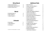#### **Shiraz/Syrah**

| '17 Miracle on the Wire Shiraz AU          | 30 |
|--------------------------------------------|----|
| '17 Gramercy Cellars 'Lower East' Syrah WA | 48 |
| '18 Spicerack Vineyards Syrah CA           | 58 |

#### **Merlot**

| '18 Walla Walla Vintners WA | 58  |
|-----------------------------|-----|
| '18 Stags' Leap Winery CA   | 82  |
| '17 Duckhorn Vineyards CA   | 124 |

#### **Zinfandel**

| '18 Frank Family CA      | 78 |
|--------------------------|----|
| '17 Chateau Montelena CA | 80 |
| '19 The Prisoner CA      | 90 |

Availability & Vintages Subject to Change

## **Additional Reds**

|   | '18 Berton Petit Sirah AU                          | 34  |
|---|----------------------------------------------------|-----|
|   | '18 Chateau la Grave Cahors Malbec FR              | 36  |
|   | '19 Li Veli 'Orion' Primitivo IT                   | 40  |
|   | '18 Laroque Cab Franc FR                           | 48  |
|   | '18 Tessellae Carignan FR                          | 48  |
|   | '17 Sleight of Hand 'Spellbinder' Red Blend WA     | 48  |
|   | '14 Domaine du Theron Malbec FR                    | 56  |
|   | '19 Decoy by Duckhorn Red Blend CA                 | 56  |
| 4 | '19 Alvaro Palacios Camins del Priorat Garnacha ES | 60  |
|   | '18 Isenhower Cellars Malbec WA                    | 60  |
|   | '19 Eschol by Trefethen Meritage CA                | 65  |
|   | '15 Humberto Canale Cab Franc AR                   | 72  |
|   | '15 Gaja Promis Merlot/Syrah/Sangiovese $\Pi$      | 74  |
|   | '17 La Spinetta Nebbiolo IT                        | 78  |
|   | '18 Duriguitti 'Cinco Suelos' Malbec AR            | 78  |
|   | '11 Ontañón Gran Reserva Rioja ES                  | 96  |
|   | '13 Cesari Amarone IT                              | 125 |
|   | '18 Penfolds 'Bin 600' Cabernet/ Shiraz CA         | 120 |
|   | '09 Fletcher Alta Pete Barolo IT                   | 130 |
|   | '11 Caprilli Brunello di Montalcino IT             | 143 |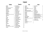# **Liquor**

**Gin**

#### **Vodka**

| <b>Smirnoff</b>                        | 6  | <b>Exotico Blanco</b>          | 6  |
|----------------------------------------|----|--------------------------------|----|
| High Ore*                              | 7  | <b>Espolon Reposado</b>        | 8  |
| Headframe Spirits, Butte, MT           |    | <b>Sauza Hornitos</b>          | 9  |
| Deep Eddy Ruby Red                     | 7  | <b>Espolon Anejo</b>           | 9  |
| <b>Stoli Citros</b>                    | 7  | <b>Vida Mescal</b>             | 9  |
| Stotli Oranj                           | 7  | <b>Milagro Reposado</b>        | 10 |
| Stoli Rasberri                         | 7  |                                | 10 |
| <b>Stoli Vanil</b>                     | 7  | Corralejo Anejo                |    |
| QuickSilver*                           | 7  | <b>Herradura Silver</b>        | 12 |
| Montgomery Distillery, Missoula, MT    |    | <b>Sauza Tres Generaciones</b> | 12 |
| <b>Stolichnaya</b>                     | 7  | <b>Maestro Dobel</b>           | 12 |
| Tito's                                 | 7  | <b>Patron Silver</b>           | 12 |
| 44 North                               | 8  | <b>Hussong's Reposado</b>      | 12 |
| <b>Absolut</b>                         | 8  | <b>Don Julio Blanco</b>        | 13 |
| <b>Absolut Pear</b>                    | 8  | <b>Casamigos Repposado</b>     | 14 |
| <b>Ketel One</b>                       | 8  | <b>Codigo Blanco</b>           | 14 |
| <b>Belvedere</b>                       | 8  | Don Julio Reposado             | 14 |
| <b>Chopin</b>                          | 9  | <b>Patron Anejjo</b>           | 14 |
| <b>Grey Goose</b>                      | 9  | <b>Casamigos Anejo</b>         | 16 |
| <b>Ciroc</b>                           | 9  | <b>Codigo Rosa</b>             | 16 |
| Spirit of Spretty*                     | 9  | <b>Fortaleza Reposado</b>      | 16 |
| Whistling Andy Distillery, Bigfork, MT |    | Cuervo De La Familia           | 27 |
| Soli Elite                             | 14 | Don Julio 1942                 | 33 |
|                                        |    |                                |    |

**Tequila**

| Seagrams                                                                                    | 6      | <b>Bacardi Light</b>                                                      | 6           |
|---------------------------------------------------------------------------------------------|--------|---------------------------------------------------------------------------|-------------|
| <b>Bombay</b>                                                                               | 7      | <b>Malibu</b>                                                             | 7           |
| Whyte Laydie*<br>Montgomery Distillery, Missoula, MT                                        | 7      | Goslings                                                                  | 7           |
| <b>Boodles</b><br><b>Whistling Andy Cucumber*</b><br>Whistling Andy Distillery, Bigfork, MT | 7<br>8 | <b>Kraken</b><br>Mount gay<br>Appleton 10 yr                              | 7<br>7<br>7 |
| <b>Beefeater</b>                                                                            | 8      | <b>Captain Morgan</b>                                                     | 7           |
| <b>Citadelle</b>                                                                            | 8      | <b>Bacardi 151</b>                                                        | 7           |
| <b>Plymouth</b>                                                                             | 8      | <b>Whistling Andy Hibiscus*</b><br>Whistling Andy Distillery, Bigfork, MT | 7           |
| <b>Tanqueray</b><br><b>Bombay Sapphire</b>                                                  | 8<br>8 | Whistling Andy White Rum*<br>Whistling Andy Distillery, Bigfork, MT       | 7           |
| Spotted Bear*<br>Spotted Bear Spirits, Whitefish, MT                                        | 8      | Whitefish Rum w/ Spices*<br>Whitefish Spirits, Whitefish, MT              | 8           |
| <b>Hendricks</b>                                                                            | 9      | Cockspur 12 yr                                                            | 8           |
| <b>Junipero</b>                                                                             | 9      | Zaya Gran Reserva                                                         | 9           |
| Lolo Creek*<br>Lolo Creek Distillery, Lolo, MT                                              | 9      |                                                                           |             |
| <b>Uncle Val's</b>                                                                          | 9      |                                                                           |             |
|                                                                                             |        |                                                                           |             |

**Rum**

\**Distilled in Montana*